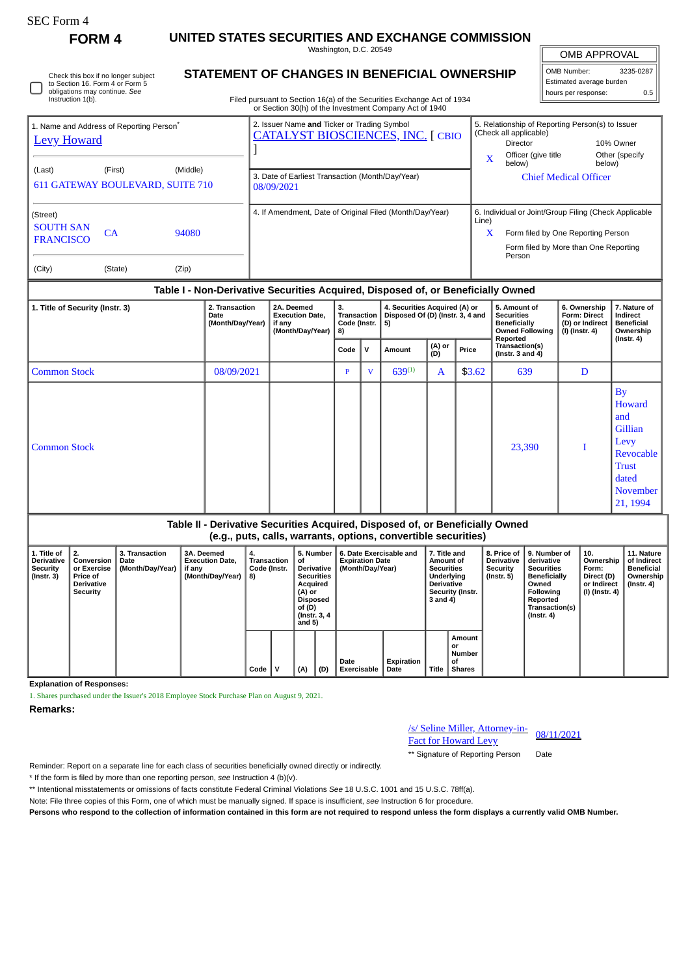## SEC Form 4

Check this box if no longer subject

**FORM 4 UNITED STATES SECURITIES AND EXCHANGE COMMISSION**

Washington, D.C. 20549 **STATEMENT OF CHANGES IN BENEFICIAL OWNERSHIP**

OMB APPROVAL

 $\mathbb{I}$ 

| OMB Number:              | 3235-0287 |  |  |  |  |
|--------------------------|-----------|--|--|--|--|
| Estimated average burden |           |  |  |  |  |
| hours per response:      | 0 5       |  |  |  |  |

| obligations may continue. See<br>Instruction 1(b).         | to Section 16. Form 4 or Form 5                                                                     |                | Filed pursuant to Section 16(a) of the Securities Exchange Act of 1934<br>or Section 30(h) of the Investment Company Act of 1940                          |                                        |                                           | Estimated average burden<br>hours per response:                                                                                      |                                       | 0.5 |
|------------------------------------------------------------|-----------------------------------------------------------------------------------------------------|----------------|-----------------------------------------------------------------------------------------------------------------------------------------------------------|----------------------------------------|-------------------------------------------|--------------------------------------------------------------------------------------------------------------------------------------|---------------------------------------|-----|
| <b>Levy Howard</b><br>(Last)                               | 1. Name and Address of Reporting Person <sup>®</sup><br>(First)<br>611 GATEWAY BOULEVARD, SUITE 710 | (Middle)       | 2. Issuer Name and Ticker or Trading Symbol<br><b>CATALYST BIOSCIENCES, INC. [ CBIO</b><br>3. Date of Earliest Transaction (Month/Day/Year)<br>08/09/2021 | (Check all applicable)<br>$\mathbf{x}$ | Director<br>Officer (give title<br>below) | 5. Relationship of Reporting Person(s) to Issuer<br><b>Chief Medical Officer</b>                                                     | 10% Owner<br>Other (specify<br>below) |     |
| (Street)<br><b>SOUTH SAN</b><br><b>FRANCISCO</b><br>(City) | CA<br>(State)                                                                                       | 94080<br>(Zip) | 4. If Amendment, Date of Original Filed (Month/Day/Year)                                                                                                  | Line)<br>$\mathbf x$                   | Person                                    | 6. Individual or Joint/Group Filing (Check Applicable<br>Form filed by One Reporting Person<br>Form filed by More than One Reporting |                                       |     |

## **Table I - Non-Derivative Securities Acquired, Disposed of, or Beneficially Owned**

| 1. Title of Security (Instr. 3) | 2. Transaction<br>Date<br>(Month/Day/Year) | 2A. Deemed<br><b>Execution Date,</b><br>if any<br>(Month/Day/Year) | 3.<br>Transaction<br>Code (Instr.<br>8) |              | 4. Securities Acquired (A) or<br>Disposed Of (D) (Instr. 3, 4 and<br>5) |               |        | 5. Amount of<br><b>Securities</b><br><b>Beneficially</b><br><b>Owned Following</b><br>Reported | 6. Ownership<br><b>Form: Direct</b><br>(D) or Indirect<br>(I) (Instr. 4) | 7. Nature of<br>Indirect<br><b>Beneficial</b><br>Ownership                                                         |
|---------------------------------|--------------------------------------------|--------------------------------------------------------------------|-----------------------------------------|--------------|-------------------------------------------------------------------------|---------------|--------|------------------------------------------------------------------------------------------------|--------------------------------------------------------------------------|--------------------------------------------------------------------------------------------------------------------|
|                                 |                                            |                                                                    | Code                                    | $\mathbf{v}$ | Amount                                                                  | (A) or<br>(D) | Price  | Transaction(s)<br>$($ Instr. 3 and 4 $)$                                                       |                                                                          | $($ Instr. 4 $)$                                                                                                   |
| <b>Common Stock</b>             | 08/09/2021                                 |                                                                    | P                                       | $\mathbf{V}$ | $639^{(1)}$                                                             | $\mathbf A$   | \$3.62 | 639                                                                                            | D                                                                        |                                                                                                                    |
| <b>Common Stock</b>             |                                            |                                                                    |                                         |              |                                                                         |               |        | 23,390                                                                                         |                                                                          | <b>By</b><br>Howard<br>and<br>Gillian<br>Levy<br>Revocable<br><b>Trust</b><br>dated<br><b>November</b><br>21, 1994 |

| Table II - Derivative Securities Acquired, Disposed of, or Beneficially Owned<br>(e.g., puts, calls, warrants, options, convertible securities) |                                            |                                                                    |                                          |                                                                                                                                  |                                                                       |                                                                                                            |                                                            |                                                                                                                                                       |                                                                          |                                                                                 |
|-------------------------------------------------------------------------------------------------------------------------------------------------|--------------------------------------------|--------------------------------------------------------------------|------------------------------------------|----------------------------------------------------------------------------------------------------------------------------------|-----------------------------------------------------------------------|------------------------------------------------------------------------------------------------------------|------------------------------------------------------------|-------------------------------------------------------------------------------------------------------------------------------------------------------|--------------------------------------------------------------------------|---------------------------------------------------------------------------------|
| Conversion<br>or Exercise<br><b>Price of</b><br><b>Derivative</b><br>Security                                                                   | 3. Transaction<br>Date<br>(Month/Day/Year) | 3A. Deemed<br><b>Execution Date.</b><br>if anv<br>(Month/Dav/Year) | 4.<br>Transaction<br>Code (Instr.<br>-8) | 5. Number<br>οf<br><b>Derivative</b><br><b>Securities</b><br>Acquired<br>(A) or<br>Disposed<br>of (D)<br>(Instr. 3, 4)<br>and 5) | 6. Date Exercisable and<br><b>Expiration Date</b><br>(Month/Day/Year) | 7. Title and<br>Amount of<br><b>Securities</b><br>Underlying<br>Derivative<br>Security (Instr.<br>3 and 4) | 8. Price of<br><b>Derivative</b><br>Security<br>(Instr. 5) | 9. Number of<br>derivative<br><b>Securities</b><br><b>Beneficially</b><br>Owned<br>Following<br>Reported<br><b>Transaction(s)</b><br>$($ Instr. 4 $)$ | 10.<br>Ownership<br>Form:<br>Direct (D)<br>or Indirect<br>(I) (Instr. 4) | 11. Nature<br>of Indirect<br><b>Beneficial</b><br>Ownership<br>$($ Instr. 4 $)$ |

**Expiration**

**Date Title**

**Amount or Number of Shares**

**Date Exercisable**

**Explanation of Responses:**

1. Shares purchased under the Issuer's 2018 Employee Stock Purchase Plan on August 9, 2021.

**Remarks:**

**1. Title of Derivative Security (Instr. 3)**

| /s/ Seline Miller, Attorney-in- |            |
|---------------------------------|------------|
| <b>Fact for Howard Levy</b>     | 08/11/2021 |

\*\* Signature of Reporting Person Date

Reminder: Report on a separate line for each class of securities beneficially owned directly or indirectly.

\* If the form is filed by more than one reporting person, *see* Instruction 4 (b)(v).

\*\* Intentional misstatements or omissions of facts constitute Federal Criminal Violations *See* 18 U.S.C. 1001 and 15 U.S.C. 78ff(a).

**Code V (A) (D)**

Note: File three copies of this Form, one of which must be manually signed. If space is insufficient, *see* Instruction 6 for procedure.

**Persons who respond to the collection of information contained in this form are not required to respond unless the form displays a currently valid OMB Number.**